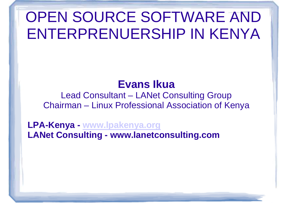#### **Evans Ikua**

 Lead Consultant – LANet Consulting GroupChairman – Linux Professional Association of Kenya

**LPA-Kenya - www.lpakenya.org LANet Consulting www.lanetconsulting.com**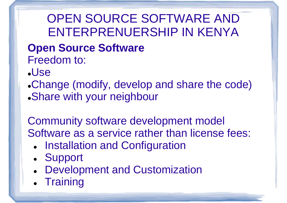# **Open Source Software**

Freedom to:

- Use
- Change (modify, develop and share the code)Share with your neighbour

Community software development modelSoftware as a service rather than license fees:

- $\bullet$ **• Installation and Configuration**
- $\bullet$ Support
- $\bullet$ Development and Customization
- $\bullet$ • Training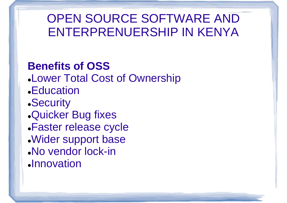#### **Benefits of OSS**

- Lower Total Cost of Ownership
- Education
- Security
- Quicker Bug fixes
- Faster release cycle
- Wider support base
- No vendor lock-in
- **.Innovation**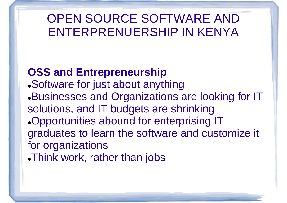#### **OSS and Entrepreneurship**

 Software for just about anything Businesses and Organizations are looking for IT solutions, and IT budgets are shrinking Opportunities abound for enterprising IT graduates to learn the software and customize it for organizations

Think work, rather than jobs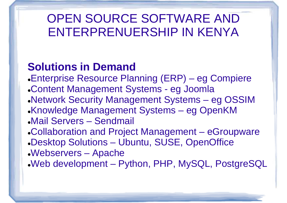### **Solutions in Demand**

- Enterprise Resource Planning (ERP) eg Compiere
- Content Management Systems eg Joomla
- Network Security Management Systems eg OSSIM
- Knowledge Management Systems eg OpenKM
- Mail Servers Sendmail
- Collaboration and Project Management –- eGroupware
- Desktop Solutions Ubuntu, SUSE, OpenOffice
- Webservers Apache
- Web development Python, PHP, MySQL, PostgreSQL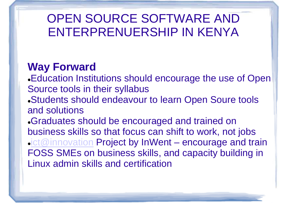#### **Way Forward**

Education Institutions should encourage the use of Open Source tools in their syllabus

 Students should endeavour to learn Open Soure toolsand solutions

 Graduates should be encouraged and trained on business skills so that focus can shift to work, not jobs $\frac{\mathsf{act@innovation}}{\mathsf{Enc@ann}}$  Project by InWent – encourage and train FOSS SMEs on business skills, and capacity building in Linux admin skills and certification